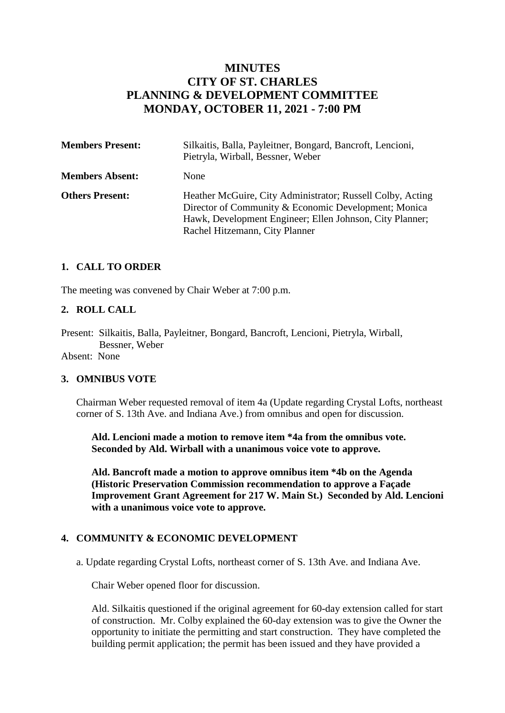# **MINUTES CITY OF ST. CHARLES PLANNING & DEVELOPMENT COMMITTEE MONDAY, OCTOBER 11, 2021 - 7:00 PM**

| <b>Members Present:</b> | Silkaitis, Balla, Payleitner, Bongard, Bancroft, Lencioni,<br>Pietryla, Wirball, Bessner, Weber                                                                                                                  |
|-------------------------|------------------------------------------------------------------------------------------------------------------------------------------------------------------------------------------------------------------|
| <b>Members Absent:</b>  | None                                                                                                                                                                                                             |
| <b>Others Present:</b>  | Heather McGuire, City Administrator; Russell Colby, Acting<br>Director of Community & Economic Development; Monica<br>Hawk, Development Engineer; Ellen Johnson, City Planner;<br>Rachel Hitzemann, City Planner |

## **1. CALL TO ORDER**

The meeting was convened by Chair Weber at 7:00 p.m.

## **2. ROLL CALL**

Present: Silkaitis, Balla, Payleitner, Bongard, Bancroft, Lencioni, Pietryla, Wirball, Bessner, Weber

Absent: None

### **3. OMNIBUS VOTE**

Chairman Weber requested removal of item 4a (Update regarding Crystal Lofts, northeast corner of S. 13th Ave. and Indiana Ave.) from omnibus and open for discussion.

 **Ald. Lencioni made a motion to remove item \*4a from the omnibus vote. Seconded by Ald. Wirball with a unanimous voice vote to approve.**

**Ald. Bancroft made a motion to approve omnibus item \*4b on the Agenda (Historic Preservation Commission recommendation to approve a Façade Improvement Grant Agreement for 217 W. Main St.) Seconded by Ald. Lencioni with a unanimous voice vote to approve.**

### **4. COMMUNITY & ECONOMIC DEVELOPMENT**

a. Update regarding Crystal Lofts, northeast corner of S. 13th Ave. and Indiana Ave.

Chair Weber opened floor for discussion.

Ald. Silkaitis questioned if the original agreement for 60-day extension called for start of construction. Mr. Colby explained the 60-day extension was to give the Owner the opportunity to initiate the permitting and start construction. They have completed the building permit application; the permit has been issued and they have provided a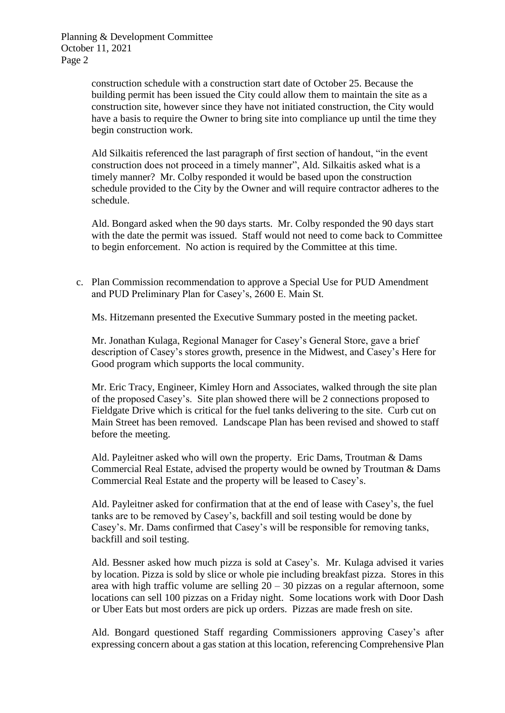Planning & Development Committee October 11, 2021 Page 2

> construction schedule with a construction start date of October 25. Because the building permit has been issued the City could allow them to maintain the site as a construction site, however since they have not initiated construction, the City would have a basis to require the Owner to bring site into compliance up until the time they begin construction work.

> Ald Silkaitis referenced the last paragraph of first section of handout, "in the event construction does not proceed in a timely manner", Ald. Silkaitis asked what is a timely manner? Mr. Colby responded it would be based upon the construction schedule provided to the City by the Owner and will require contractor adheres to the schedule.

Ald. Bongard asked when the 90 days starts. Mr. Colby responded the 90 days start with the date the permit was issued. Staff would not need to come back to Committee to begin enforcement. No action is required by the Committee at this time.

c. Plan Commission recommendation to approve a Special Use for PUD Amendment and PUD Preliminary Plan for Casey's, 2600 E. Main St.

Ms. Hitzemann presented the Executive Summary posted in the meeting packet.

Mr. Jonathan Kulaga, Regional Manager for Casey's General Store, gave a brief description of Casey's stores growth, presence in the Midwest, and Casey's Here for Good program which supports the local community.

Mr. Eric Tracy, Engineer, Kimley Horn and Associates, walked through the site plan of the proposed Casey's. Site plan showed there will be 2 connections proposed to Fieldgate Drive which is critical for the fuel tanks delivering to the site. Curb cut on Main Street has been removed. Landscape Plan has been revised and showed to staff before the meeting.

Ald. Payleitner asked who will own the property. Eric Dams, Troutman & Dams Commercial Real Estate, advised the property would be owned by Troutman & Dams Commercial Real Estate and the property will be leased to Casey's.

Ald. Payleitner asked for confirmation that at the end of lease with Casey's, the fuel tanks are to be removed by Casey's, backfill and soil testing would be done by Casey's. Mr. Dams confirmed that Casey's will be responsible for removing tanks, backfill and soil testing.

Ald. Bessner asked how much pizza is sold at Casey's. Mr. Kulaga advised it varies by location. Pizza is sold by slice or whole pie including breakfast pizza. Stores in this area with high traffic volume are selling 20 – 30 pizzas on a regular afternoon, some locations can sell 100 pizzas on a Friday night. Some locations work with Door Dash or Uber Eats but most orders are pick up orders. Pizzas are made fresh on site.

Ald. Bongard questioned Staff regarding Commissioners approving Casey's after expressing concern about a gas station at this location, referencing Comprehensive Plan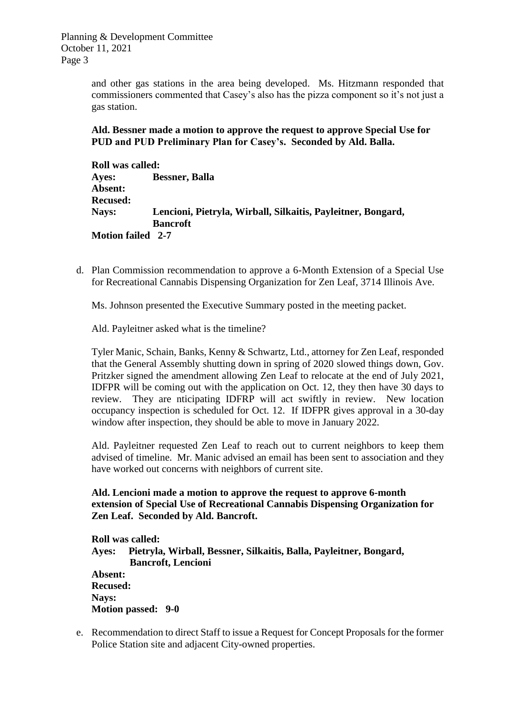Planning & Development Committee October 11, 2021 Page 3

> and other gas stations in the area being developed. Ms. Hitzmann responded that commissioners commented that Casey's also has the pizza component so it's not just a gas station.

**Ald. Bessner made a motion to approve the request to approve Special Use for PUD and PUD Preliminary Plan for Casey's. Seconded by Ald. Balla.**

**Roll was called: Ayes: Bessner, Balla Absent: Recused: Nays: Lencioni, Pietryla, Wirball, Silkaitis, Payleitner, Bongard, Bancroft Motion failed 2-7**

d. Plan Commission recommendation to approve a 6-Month Extension of a Special Use for Recreational Cannabis Dispensing Organization for Zen Leaf, 3714 Illinois Ave.

Ms. Johnson presented the Executive Summary posted in the meeting packet.

Ald. Payleitner asked what is the timeline?

Tyler Manic, Schain, Banks, Kenny & Schwartz, Ltd., attorney for Zen Leaf, responded that the General Assembly shutting down in spring of 2020 slowed things down, Gov. Pritzker signed the amendment allowing Zen Leaf to relocate at the end of July 2021, IDFPR will be coming out with the application on Oct. 12, they then have 30 days to review. They are nticipating IDFRP will act swiftly in review. New location occupancy inspection is scheduled for Oct. 12. If IDFPR gives approval in a 30-day window after inspection, they should be able to move in January 2022.

Ald. Payleitner requested Zen Leaf to reach out to current neighbors to keep them advised of timeline. Mr. Manic advised an email has been sent to association and they have worked out concerns with neighbors of current site.

**Ald. Lencioni made a motion to approve the request to approve 6-month extension of Special Use of Recreational Cannabis Dispensing Organization for Zen Leaf. Seconded by Ald. Bancroft.**

**Roll was called: Ayes: Pietryla, Wirball, Bessner, Silkaitis, Balla, Payleitner, Bongard, Bancroft, Lencioni Absent: Recused: Nays: Motion passed: 9-0**

e. Recommendation to direct Staff to issue a Request for Concept Proposals for the former Police Station site and adjacent City-owned properties.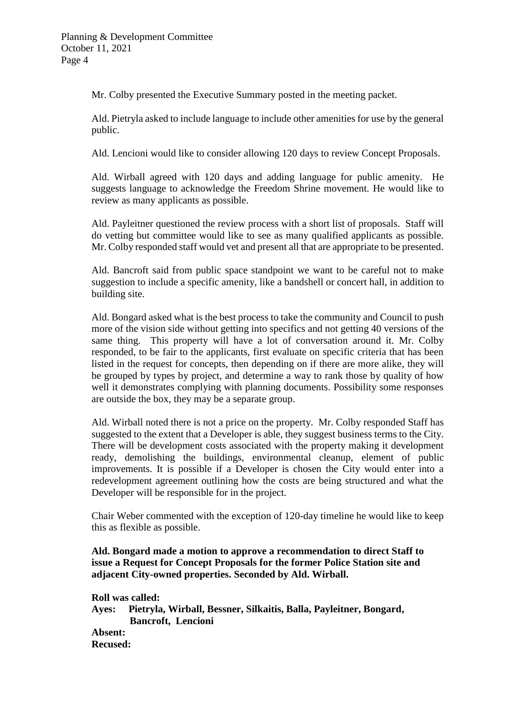Mr. Colby presented the Executive Summary posted in the meeting packet.

Ald. Pietryla asked to include language to include other amenities for use by the general public.

Ald. Lencioni would like to consider allowing 120 days to review Concept Proposals.

Ald. Wirball agreed with 120 days and adding language for public amenity. He suggests language to acknowledge the Freedom Shrine movement. He would like to review as many applicants as possible.

Ald. Payleitner questioned the review process with a short list of proposals. Staff will do vetting but committee would like to see as many qualified applicants as possible. Mr. Colby responded staff would vet and present all that are appropriate to be presented.

Ald. Bancroft said from public space standpoint we want to be careful not to make suggestion to include a specific amenity, like a bandshell or concert hall, in addition to building site.

Ald. Bongard asked what is the best process to take the community and Council to push more of the vision side without getting into specifics and not getting 40 versions of the same thing. This property will have a lot of conversation around it. Mr. Colby responded, to be fair to the applicants, first evaluate on specific criteria that has been listed in the request for concepts, then depending on if there are more alike, they will be grouped by types by project, and determine a way to rank those by quality of how well it demonstrates complying with planning documents. Possibility some responses are outside the box, they may be a separate group.

Ald. Wirball noted there is not a price on the property. Mr. Colby responded Staff has suggested to the extent that a Developer is able, they suggest business terms to the City. There will be development costs associated with the property making it development ready, demolishing the buildings, environmental cleanup, element of public improvements. It is possible if a Developer is chosen the City would enter into a redevelopment agreement outlining how the costs are being structured and what the Developer will be responsible for in the project.

Chair Weber commented with the exception of 120-day timeline he would like to keep this as flexible as possible.

**Ald. Bongard made a motion to approve a recommendation to direct Staff to issue a Request for Concept Proposals for the former Police Station site and adjacent City-owned properties. Seconded by Ald. Wirball.**

**Roll was called: Ayes: Pietryla, Wirball, Bessner, Silkaitis, Balla, Payleitner, Bongard, Bancroft, Lencioni Absent: Recused:**